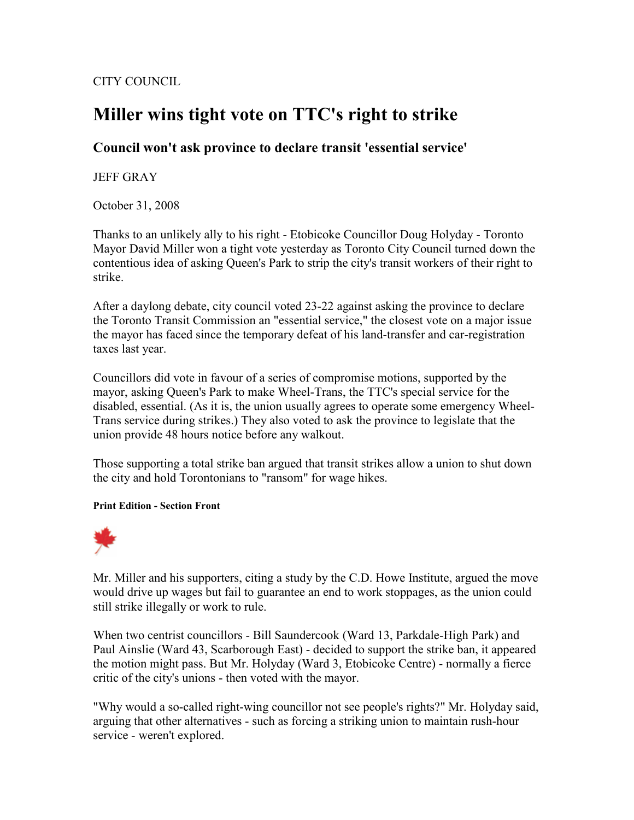CITY COUNCIL

## Miller wins tight vote on TTC's right to strike

## Council won't ask province to declare transit 'essential service'

## JEFF GRAY

October 31, 2008

Thanks to an unlikely ally to his right - Etobicoke Councillor Doug Holyday - Toronto Mayor David Miller won a tight vote yesterday as Toronto City Council turned down the contentious idea of asking Queen's Park to strip the city's transit workers of their right to strike.

After a daylong debate, city council voted 23-22 against asking the province to declare the Toronto Transit Commission an "essential service," the closest vote on a major issue the mayor has faced since the temporary defeat of his land-transfer and car-registration taxes last year.

Councillors did vote in favour of a series of compromise motions, supported by the mayor, asking Queen's Park to make Wheel-Trans, the TTC's special service for the disabled, essential. (As it is, the union usually agrees to operate some emergency Wheel-Trans service during strikes.) They also voted to ask the province to legislate that the union provide 48 hours notice before any walkout.

Those supporting a total strike ban argued that transit strikes allow a union to shut down the city and hold Torontonians to "ransom" for wage hikes.

## Print Edition - Section Front



Mr. Miller and his supporters, citing a study by the C.D. Howe Institute, argued the move would drive up wages but fail to guarantee an end to work stoppages, as the union could still strike illegally or work to rule.

When two centrist councillors - Bill Saundercook (Ward 13, Parkdale-High Park) and Paul Ainslie (Ward 43, Scarborough East) - decided to support the strike ban, it appeared the motion might pass. But Mr. Holyday (Ward 3, Etobicoke Centre) - normally a fierce critic of the city's unions - then voted with the mayor.

"Why would a so-called right-wing councillor not see people's rights?" Mr. Holyday said, arguing that other alternatives - such as forcing a striking union to maintain rush-hour service - weren't explored.